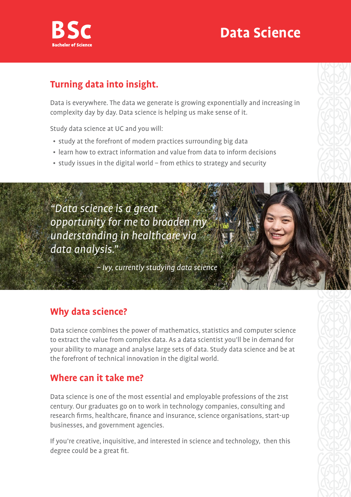

## **Data Science**

## **Turning data into insight.**

Data is everywhere. The data we generate is growing exponentially and increasing in complexity day by day. Data science is helping us make sense of it.

Study data science at UC and you will:

- study at the forefront of modern practices surrounding big data
- learn how to extract information and value from data to inform decisions
- study issues in the digital world from ethics to strategy and security

"Data science is a great opportunity for me to broaden my understanding in healthcare via data analysis."

– Ivy, currently studying data science

### **Why data science?**

Data science combines the power of mathematics, statistics and computer science to extract the value from complex data. As a data scientist you'll be in demand for your ability to manage and analyse large sets of data. Study data science and be at the forefront of technical innovation in the digital world.

### **Where can it take me?**

Data science is one of the most essential and employable professions of the 21st century. Our graduates go on to work in technology companies, consulting and research firms, healthcare, finance and insurance, science organisations, start-up businesses, and government agencies.

If you're creative, inquisitive, and interested in science and technology, then this degree could be a great fit.